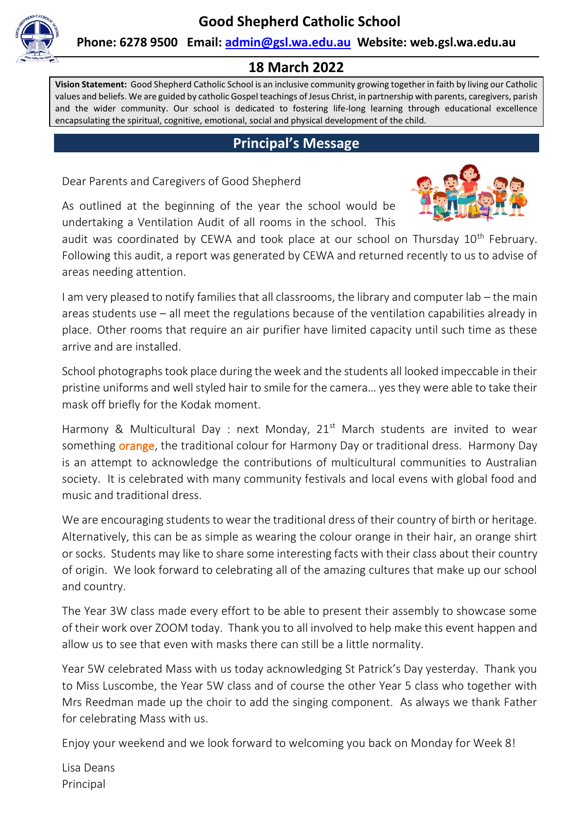

#### **Phone: 6278 9500 Email: [admin@gsl.wa.edu.au](mailto:admin@gsl.wa.edu.au) Website: web.gsl.wa.edu.au**

## **18 March 2022**

**Vision Statement:** Good Shepherd Catholic School is an inclusive community growing together in faith by living our Catholic values and beliefs. We are guided by catholic Gospel teachings of Jesus Christ, in partnership with parents, caregivers, parish and the wider community. Our school is dedicated to fostering life-long learning through educational excellence encapsulating the spiritual, cognitive, emotional, social and physical development of the child.

#### **Principal's Message**

Dear Parents and Caregivers of Good Shepherd

As outlined at the beginning of the year the school would be undertaking a Ventilation Audit of all rooms in the school. This



audit was coordinated by CEWA and took place at our school on Thursday 10<sup>th</sup> February. Following this audit, a report was generated by CEWA and returned recently to us to advise of areas needing attention.

I am very pleased to notify families that all classrooms, the library and computer lab – the main areas students use – all meet the regulations because of the ventilation capabilities already in place. Other rooms that require an air purifier have limited capacity until such time as these arrive and are installed.

School photographs took place during the week and the students all looked impeccable in their pristine uniforms and well styled hair to smile for the camera… yes they were able to take their mask off briefly for the Kodak moment.

Harmony & Multicultural Day : next Monday,  $21^{st}$  March students are invited to wear something **orange**, the traditional colour for Harmony Day or traditional dress. Harmony Day is an attempt to acknowledge the contributions of multicultural communities to Australian society. It is celebrated with many community festivals and local evens with global food and music and traditional dress.

We are encouraging students to wear the traditional dress of their country of birth or heritage. Alternatively, this can be as simple as wearing the colour orange in their hair, an orange shirt or socks. Students may like to share some interesting facts with their class about their country of origin. We look forward to celebrating all of the amazing cultures that make up our school and country.

The Year 3W class made every effort to be able to present their assembly to showcase some of their work over ZOOM today. Thank you to all involved to help make this event happen and allow us to see that even with masks there can still be a little normality.

Year 5W celebrated Mass with us today acknowledging St Patrick's Day yesterday. Thank you to Miss Luscombe, the Year 5W class and of course the other Year 5 class who together with Mrs Reedman made up the choir to add the singing component. As always we thank Father for celebrating Mass with us.

Enjoy your weekend and we look forward to welcoming you back on Monday for Week 8!

Lisa Deans Principal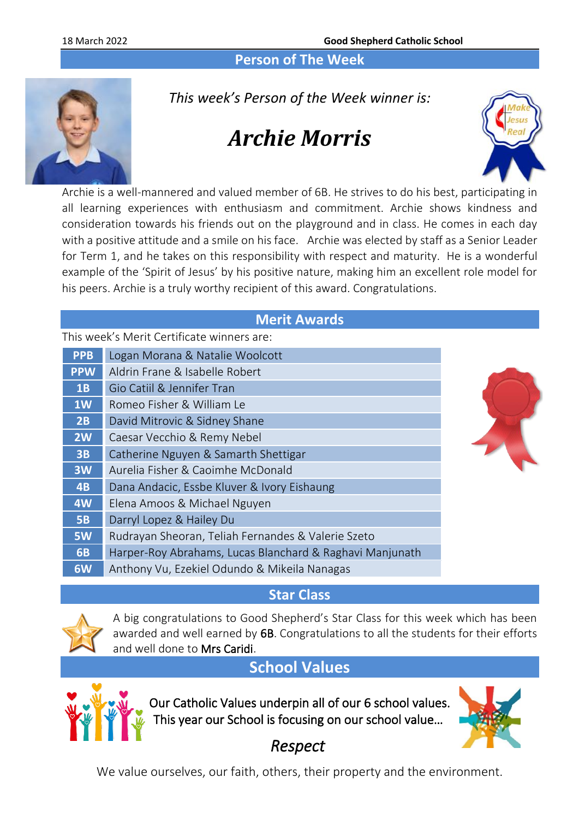#### **Person of The Week**



*This week's Person of the Week winner is:*

# *Archie Morris*



Archie is a well-mannered and valued member of 6B. He strives to do his best, participating in all learning experiences with enthusiasm and commitment. Archie shows kindness and consideration towards his friends out on the playground and in class. He comes in each day with a positive attitude and a smile on his face. Archie was elected by staff as a Senior Leader for Term 1, and he takes on this responsibility with respect and maturity. He is a wonderful example of the 'Spirit of Jesus' by his positive nature, making him an excellent role model for his peers. Archie is a truly worthy recipient of this award. Congratulations.

#### **Merit Awards**

This week's Merit Certificate winners are:

| Logan Morana & Natalie Woolcott                          |  |
|----------------------------------------------------------|--|
| Aldrin Frane & Isabelle Robert                           |  |
| Gio Catiil & Jennifer Tran                               |  |
| Romeo Fisher & William Le                                |  |
| David Mitrovic & Sidney Shane                            |  |
| Caesar Vecchio & Remy Nebel                              |  |
| Catherine Nguyen & Samarth Shettigar                     |  |
| Aurelia Fisher & Caoimhe McDonald                        |  |
| Dana Andacic, Essbe Kluver & Ivory Eishaung              |  |
| Elena Amoos & Michael Nguyen                             |  |
| Darryl Lopez & Hailey Du                                 |  |
| Rudrayan Sheoran, Teliah Fernandes & Valerie Szeto       |  |
| Harper-Roy Abrahams, Lucas Blanchard & Raghavi Manjunath |  |
| Anthony Vu, Ezekiel Odundo & Mikeila Nanagas             |  |
|                                                          |  |

#### **Star Class**



A big congratulations to Good Shepherd's Star Class for this week which has been awarded and well earned by 6B. Congratulations to all the students for their efforts and well done to Mrs Caridi.

## **School Values**



Our Catholic Values underpin all of our 6 school values. This year our School is focusing on our school value…



## *Respect*

We value ourselves, our faith, others, their property and the environment.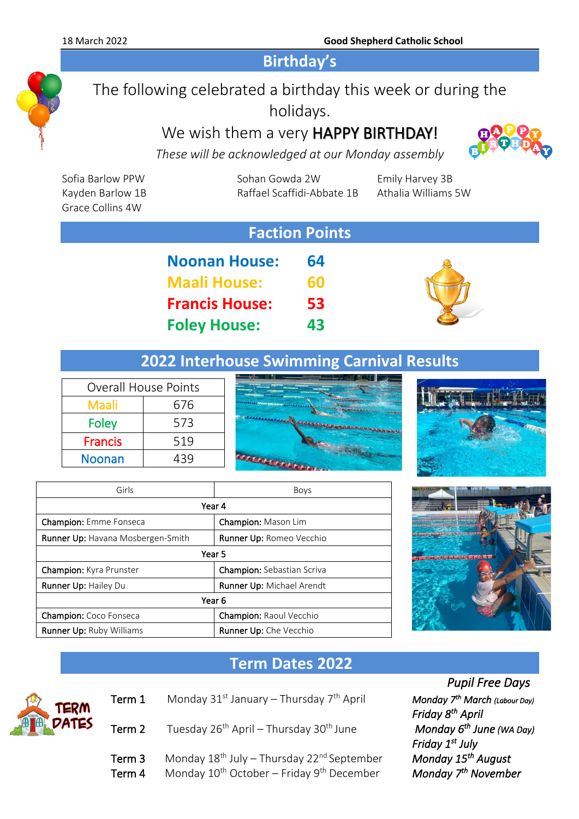18 March 2022 **Good Shepherd Catholic School**

**Birthday's**

## The following celebrated a birthday this week or during the holidays.

We wish them a very **HAPPY BIRTHDAY!** 



*These will be acknowledged at our Monday assembly*

| <b>Faction Points</b>                |                            |                     |
|--------------------------------------|----------------------------|---------------------|
| Kayden Barlow 1B<br>Grace Collins 4W | Raffael Scaffidi-Abbate 1B | Athalia Williams 5W |
| Sofia Barlow PPW                     | Sohan Gowda 2W             | Emily Harvey 3B     |

| <b>Noonan House:</b>  | 64 |
|-----------------------|----|
| <b>Maali House:</b>   | 60 |
| <b>Francis House:</b> | 53 |
| <b>Foley House:</b>   | 43 |



## **2022 Interhouse Swimming Carnival Results**

| <b>Overall House Points</b> |     |  |
|-----------------------------|-----|--|
| Maali                       | 676 |  |
| Foley                       | 573 |  |
| <b>Francis</b>              | 519 |  |
| <b>Noonan</b>               | 439 |  |
|                             |     |  |





| Girls                                    | <b>Boys</b>                       |  |  |
|------------------------------------------|-----------------------------------|--|--|
| Year 4                                   |                                   |  |  |
| <b>Champion:</b> Emme Fonseca            | Champion: Mason Lim               |  |  |
| <b>Runner Up: Havana Mosbergen-Smith</b> | <b>Runner Up: Romeo Vecchio</b>   |  |  |
| Year 5                                   |                                   |  |  |
| <b>Champion:</b> Kyra Prunster           | <b>Champion:</b> Sebastian Scriva |  |  |
| Runner Up: Hailey Du                     | Runner Up: Michael Arendt         |  |  |
| Year 6                                   |                                   |  |  |
| <b>Champion:</b> Coco Fonseca            | <b>Champion: Raoul Vecchio</b>    |  |  |
| <b>Runner Up: Ruby Williams</b>          | <b>Runner Up:</b> Che Vecchio     |  |  |



## **Term Dates 2022**



- Term 1 Monday 31<sup>st</sup> January Thursday 7<sup>th</sup> April
- Term 2 Tuesday 26<sup>th</sup> April Thursday 30<sup>th</sup> June
- Term 3 Monday 18<sup>th</sup> July Thursday 22<sup>nd</sup> September Term 4 Monday 10<sup>th</sup> October – Friday 9<sup>th</sup> December

 *Pupil Free Days March (Labour Day) PRIM*<br> *AFFICE Monday*  $6^{th}$  June (WA Day)  *Friday 1st July*  **Monday 15<sup>th</sup> August** *Monday* 7<sup>th</sup> November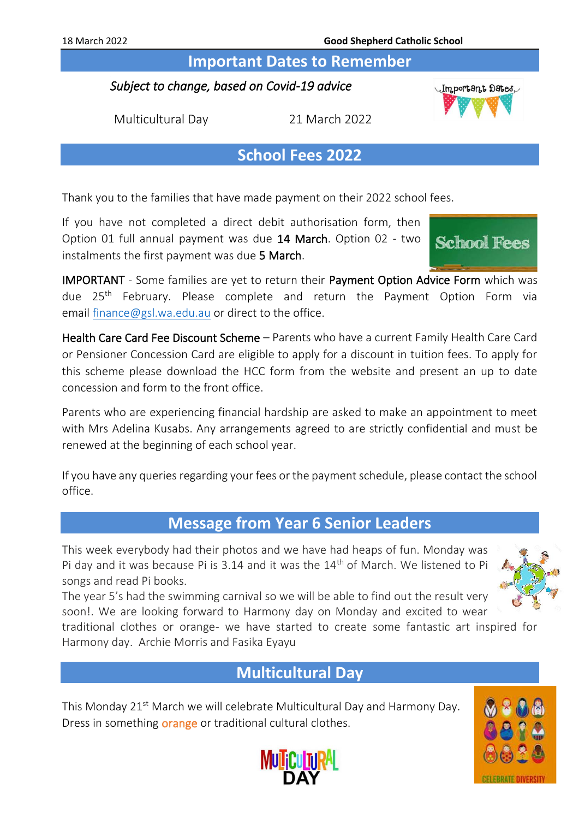**Important Dates to Remember** 

#### *Subject to change, based on Covid-19 advice*

Multicultural Day 21 March 2022

## **School Fees 2022**

Thank you to the families that have made payment on their 2022 school fees.

If you have not completed a direct debit authorisation form, then Option 01 full annual payment was due 14 March. Option 02 - two instalments the first payment was due 5 March.

IMPORTANT - Some families are yet to return their Payment Option Advice Form which was due 25<sup>th</sup> February. Please complete and return the Payment Option Form via email [finance@gsl.wa.edu.au](mailto:finance@gsl.wa.edu.au) or direct to the office.

Health Care Card Fee Discount Scheme - Parents who have a current Family Health Care Card or Pensioner Concession Card are eligible to apply for a discount in tuition fees. To apply for this scheme please download the HCC form from the website and present an up to date concession and form to the front office.

Parents who are experiencing financial hardship are asked to make an appointment to meet with Mrs Adelina Kusabs. Any arrangements agreed to are strictly confidential and must be renewed at the beginning of each school year.

If you have any queries regarding your fees or the payment schedule, please contact the school office.

### **Message from Year 6 Senior Leaders**

This week everybody had their photos and we have had heaps of fun. Monday was Pi day and it was because Pi is 3.14 and it was the  $14<sup>th</sup>$  of March. We listened to Pi songs and read Pi books.

The year 5's had the swimming carnival so we will be able to find out the result very soon!. We are looking forward to Harmony day on Monday and excited to wear

traditional clothes or orange- we have started to create some fantastic art inspired for Harmony day. Archie Morris and Fasika Eyayu

## **Multicultural Day**

This Monday 21<sup>st</sup> March we will celebrate Multicultural Day and Harmony Day. Dress in something **orange** or traditional cultural clothes.







Important Dates,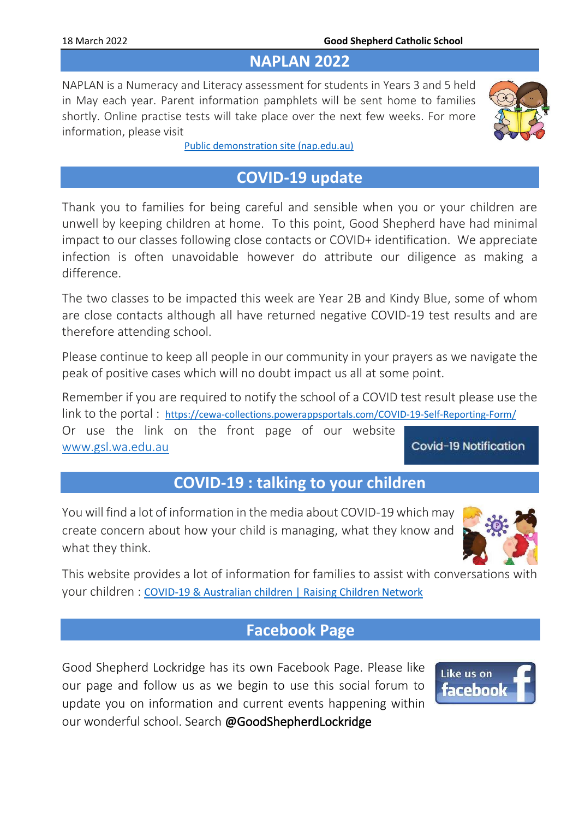#### **NAPLAN 2022**

NAPLAN is a Numeracy and Literacy assessment for students in Years 3 and 5 held in May each year. Parent information pamphlets will be sent home to families shortly. Online practise tests will take place over the next few weeks. For more information, please visit



[Public demonstration site \(nap.edu.au\)](https://www.nap.edu.au/online-assessment/public-demonstration-site)

## **COVID-19 update**

Thank you to families for being careful and sensible when you or your children are unwell by keeping children at home. To this point, Good Shepherd have had minimal impact to our classes following close contacts or COVID+ identification. We appreciate infection is often unavoidable however do attribute our diligence as making a difference.

The two classes to be impacted this week are Year 2B and Kindy Blue, some of whom are close contacts although all have returned negative COVID-19 test results and are therefore attending school.

Please continue to keep all people in our community in your prayers as we navigate the peak of positive cases which will no doubt impact us all at some point.

Remember if you are required to notify the school of a COVID test result please use the link to the portal : <https://cewa-collections.powerappsportals.com/COVID-19-Self-Reporting-Form/> Or use the link on the front page of our website Covid-19 Notification [www.gsl.wa.edu.au](http://www.gsl.wa.edu.au/)

## **COVID-19 : talking to your children**

You will find a lot of information in the media about COVID-19 which may create concern about how your child is managing, what they know and what they think.



This website provides a lot of information for families to assist with conversations with your children : [COVID-19 & Australian children | Raising Children Network](https://raisingchildren.net.au/guides/a-z-health-reference/coronavirus-and-children-in-australia#talking-with-children-about-covid-19-nav-title)

## **Facebook Page**

Good Shepherd Lockridge has its own Facebook Page. Please like our page and follow us as we begin to use this social forum to update you on information and current events happening within our wonderful school. Search @GoodShepherdLockridge

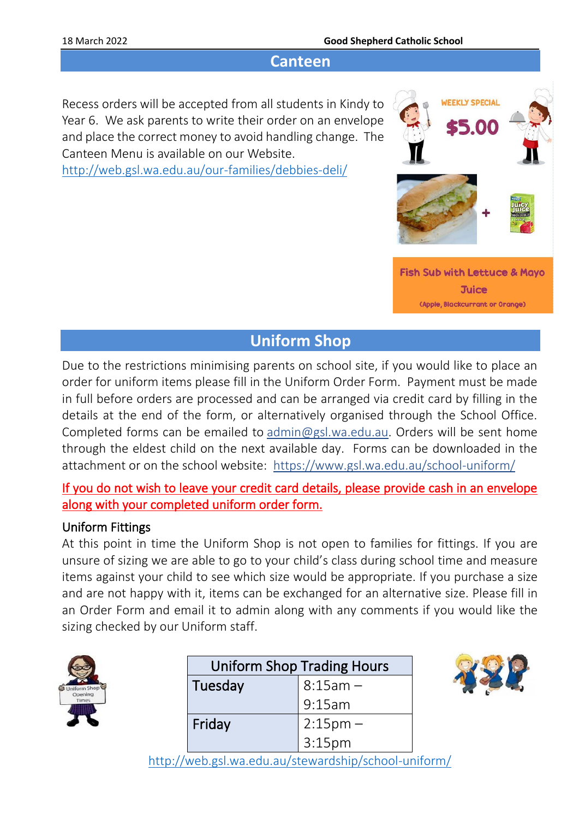#### **Canteen**

Recess orders will be accepted from all students in Kindy to Year 6. We ask parents to write their order on an envelope and place the correct money to avoid handling change. The Canteen Menu is available on our Website. <http://web.gsl.wa.edu.au/our-families/debbies-deli/>



## **Uniform Shop**

Due to the restrictions minimising parents on school site, if you would like to place an order for uniform items please fill in the Uniform Order Form. Payment must be made in full before orders are processed and can be arranged via credit card by filling in the details at the end of the form, or alternatively organised through the School Office. Completed forms can be emailed to [admin@gsl.wa.edu.au.](mailto:admin@gsl.wa.edu.au) Orders will be sent home through the eldest child on the next available day. Forms can be downloaded in the attachment or on the school website: <https://www.gsl.wa.edu.au/school-uniform/>

If you do not wish to leave your credit card details, please provide cash in an envelope along with your completed uniform order form.

#### Uniform Fittings

At this point in time the Uniform Shop is not open to families for fittings. If you are unsure of sizing we are able to go to your child's class during school time and measure items against your child to see which size would be appropriate. If you purchase a size and are not happy with it, items can be exchanged for an alternative size. Please fill in an Order Form and email it to admin along with any comments if you would like the sizing checked by our Uniform staff.

| <b>Jniform Sho</b><br>pening<br>nes |
|-------------------------------------|
|                                     |

| <b>Uniform Shop Trading Hours</b> |                        |
|-----------------------------------|------------------------|
| Tuesday                           | $8:15am -$             |
|                                   | 9:15am                 |
| Friday                            |                        |
|                                   | $2:15pm -$<br>$3:15pm$ |



<http://web.gsl.wa.edu.au/stewardship/school-uniform/>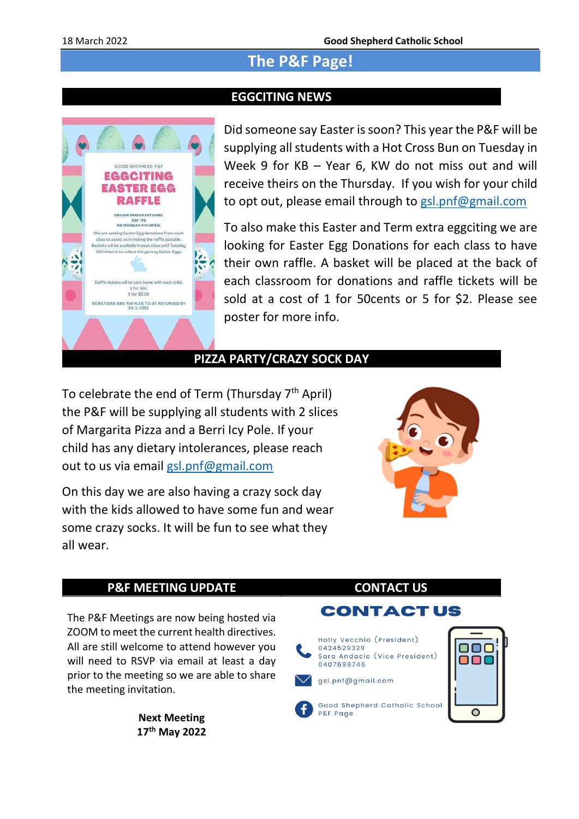## **The P&F Page!**

#### **EGGCITING NEWS**



Did someone say Easter is soon? This year the P&F will be supplying all students with a Hot Cross Bun on Tuesday in Week 9 for KB – Year 6, KW do not miss out and will receive theirs on the Thursday. If you wish for your child to opt out, please email through to [gsl.pnf@gmail.com](mailto:gsl.pnf@gmail.com)

To also make this Easter and Term extra eggciting we are looking for Easter Egg Donations for each class to have their own raffle. A basket will be placed at the back of each classroom for donations and raffle tickets will be sold at a cost of 1 for 50cents or 5 for \$2. Please see poster for more info.

#### **PIZZA PARTY/CRAZY SOCK DAY**

To celebrate the end of Term (Thursday  $7<sup>th</sup>$  April) the P&F will be supplying all students with 2 slices of Margarita Pizza and a Berri Icy Pole. If your child has any dietary intolerances, please reach out to us via email [gsl.pnf@gmail.com](mailto:gsl.pnf@gmail.com)

On this day we are also having a crazy sock day with the kids allowed to have some fun and wear some crazy socks. It will be fun to see what they all wear.



#### **P&F MEETING UPDATE CONTACT US**

The P&F Meetings are now being hosted via ZOOM to meet the current health directives. All are still welcome to attend however you will need to RSVP via email at least a day prior to the meeting so we are able to share the meeting invitation.

> **Next Meeting 17th May 2022**

#### **CONTACTUS**

Holly Vecchio (President) 0424529329 Sara Andacic (Vice President) 0407699746

gsl.pnf@gmail.com

Good Shepherd Catholic School P&F Page

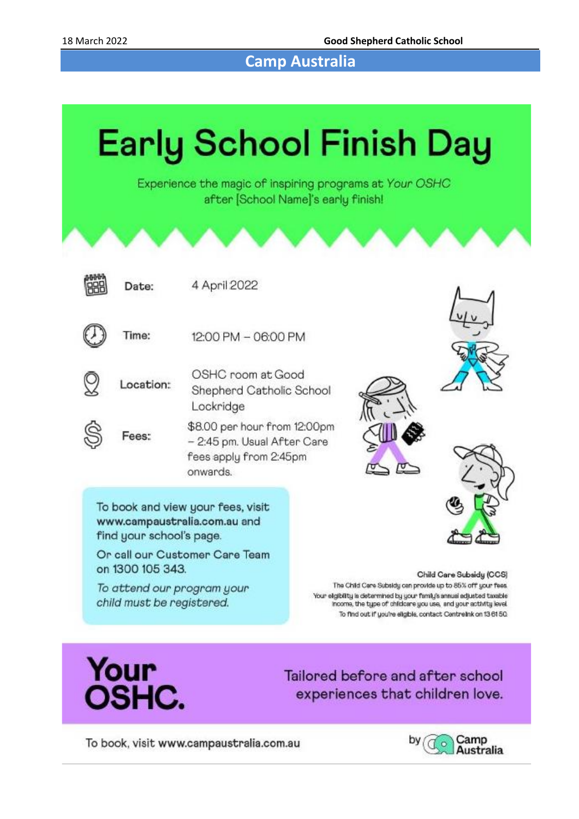**Camp Australia**



Your **OSHC.** 

Tailored before and after school experiences that children love.

To book, visit www.campaustralia.com.au